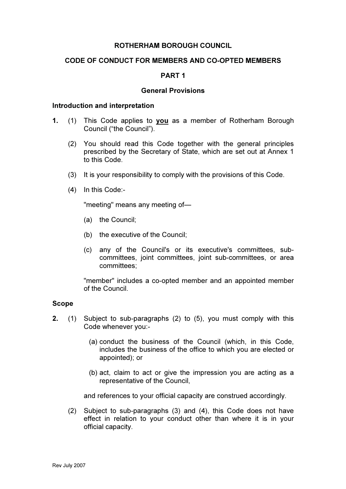# ROTHERHAM BOROUGH COUNCIL

# CODE OF CONDUCT FOR MEMBERS AND CO-OPTED MEMBERS

### PART 1

#### General Provisions

#### Introduction and interpretation

- 1. (1) This Code applies to you as a member of Rotherham Borough Council ("the Council").
	- (2) You should read this Code together with the general principles prescribed by the Secretary of State, which are set out at Annex 1 to this Code.
	- (3) It is your responsibility to comply with the provisions of this Code.
	- (4) In this Code:-

"meeting" means any meeting of—

- (a) the Council;
- (b) the executive of the Council;
- (c) any of the Council's or its executive's committees, subcommittees, joint committees, joint sub-committees, or area committees;

 "member" includes a co-opted member and an appointed member of the Council.

### Scope

- 2. (1) Subject to sub-paragraphs (2) to (5), you must comply with this Code whenever you:-
	- (a) conduct the business of the Council (which, in this Code, includes the business of the office to which you are elected or appointed); or
	- (b) act, claim to act or give the impression you are acting as a representative of the Council,

and references to your official capacity are construed accordingly.

(2) Subject to sub-paragraphs (3) and (4), this Code does not have effect in relation to your conduct other than where it is in your official capacity.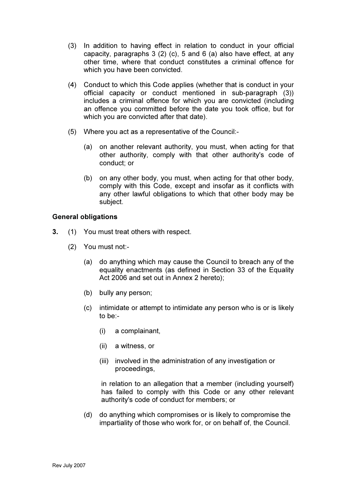- (3) In addition to having effect in relation to conduct in your official capacity, paragraphs 3 (2) (c), 5 and 6 (a) also have effect, at any other time, where that conduct constitutes a criminal offence for which you have been convicted.
- (4) Conduct to which this Code applies (whether that is conduct in your official capacity or conduct mentioned in sub-paragraph (3)) includes a criminal offence for which you are convicted (including an offence you committed before the date you took office, but for which you are convicted after that date).
- (5) Where you act as a representative of the Council:-
	- (a) on another relevant authority, you must, when acting for that other authority, comply with that other authority's code of conduct; or
	- (b) on any other body, you must, when acting for that other body, comply with this Code, except and insofar as it conflicts with any other lawful obligations to which that other body may be subject.

# General obligations

- 3. (1) You must treat others with respect.
	- (2) You must not:-
		- (a) do anything which may cause the Council to breach any of the equality enactments (as defined in Section 33 of the Equality Act 2006 and set out in Annex 2 hereto);
		- (b) bully any person;
		- (c) intimidate or attempt to intimidate any person who is or is likely to be:-
			- (i) a complainant,
			- (ii) a witness, or
			- (iii) involved in the administration of any investigation or proceedings,

in relation to an allegation that a member (including yourself) has failed to comply with this Code or any other relevant authority's code of conduct for members; or

 (d) do anything which compromises or is likely to compromise the impartiality of those who work for, or on behalf of, the Council.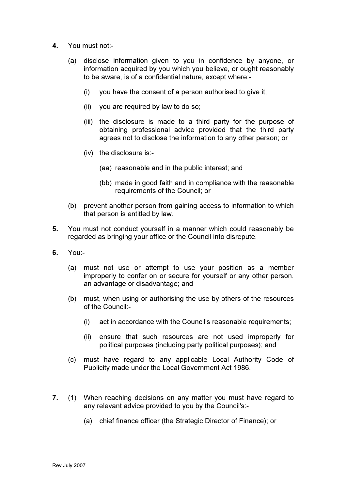- 4. You must not:-
	- (a) disclose information given to you in confidence by anyone, or information acquired by you which you believe, or ought reasonably to be aware, is of a confidential nature, except where:-
		- (i) you have the consent of a person authorised to give it;
		- (ii) you are required by law to do so;
		- (iii) the disclosure is made to a third party for the purpose of obtaining professional advice provided that the third party agrees not to disclose the information to any other person; or
		- (iv) the disclosure is:-
			- (aa) reasonable and in the public interest; and
			- (bb) made in good faith and in compliance with the reasonable requirements of the Council; or
	- (b) prevent another person from gaining access to information to which that person is entitled by law.
- 5. You must not conduct yourself in a manner which could reasonably be regarded as bringing your office or the Council into disrepute.
- 6. You:-
	- (a) must not use or attempt to use your position as a member improperly to confer on or secure for yourself or any other person, an advantage or disadvantage; and
	- (b) must, when using or authorising the use by others of the resources of the Council:-
		- (i) act in accordance with the Council's reasonable requirements;
		- (ii) ensure that such resources are not used improperly for political purposes (including party political purposes); and
	- (c) must have regard to any applicable Local Authority Code of Publicity made under the Local Government Act 1986.
- 7. (1) When reaching decisions on any matter you must have regard to any relevant advice provided to you by the Council's:-
	- (a) chief finance officer (the Strategic Director of Finance); or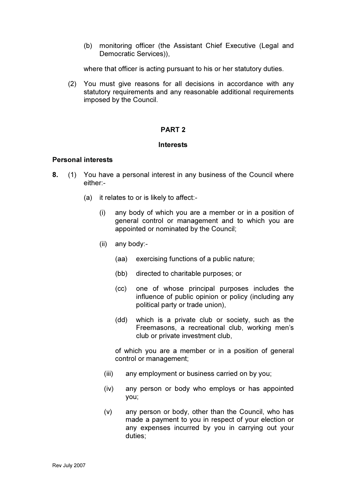(b) monitoring officer (the Assistant Chief Executive (Legal and Democratic Services)),

where that officer is acting pursuant to his or her statutory duties.

 (2) You must give reasons for all decisions in accordance with any statutory requirements and any reasonable additional requirements imposed by the Council.

# PART 2

# Interests

# Personal interests

- 8. (1) You have a personal interest in any business of the Council where either:-
	- (a) it relates to or is likely to affect:-
		- (i) any body of which you are a member or in a position of general control or management and to which you are appointed or nominated by the Council;
		- (ii) any body:-
			- (aa) exercising functions of a public nature;
			- (bb) directed to charitable purposes; or
			- (cc) one of whose principal purposes includes the influence of public opinion or policy (including any political party or trade union),
			- (dd) which is a private club or society, such as the Freemasons, a recreational club, working men's club or private investment club,

 of which you are a member or in a position of general control or management;

- (iii) any employment or business carried on by you;
- (iv) any person or body who employs or has appointed you;
- (v) any person or body, other than the Council, who has made a payment to you in respect of your election or any expenses incurred by you in carrying out your duties;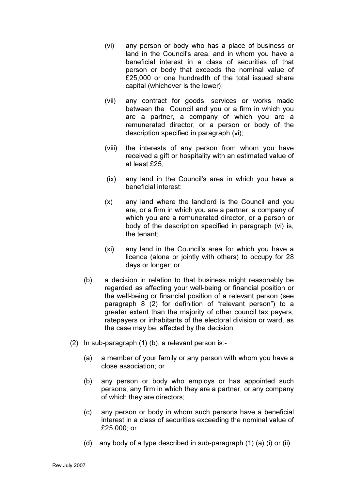- (vi) any person or body who has a place of business or land in the Council's area, and in whom you have a beneficial interest in a class of securities of that person or body that exceeds the nominal value of £25,000 or one hundredth of the total issued share capital (whichever is the lower);
- (vii) any contract for goods, services or works made between the Council and you or a firm in which you are a partner, a company of which you are a remunerated director, or a person or body of the description specified in paragraph (vi);
- (viii) the interests of any person from whom you have received a gift or hospitality with an estimated value of at least £25,
- (ix) any land in the Council's area in which you have a beneficial interest;
- (x) any land where the landlord is the Council and you are, or a firm in which you are a partner, a company of which you are a remunerated director, or a person or body of the description specified in paragraph (vi) is, the tenant;
- (xi) any land in the Council's area for which you have a licence (alone or jointly with others) to occupy for 28 days or longer; or
- (b) a decision in relation to that business might reasonably be regarded as affecting your well-being or financial position or the well-being or financial position of a relevant person (see paragraph 8 (2) for definition of "relevant person") to a greater extent than the majority of other council tax payers, ratepayers or inhabitants of the electoral division or ward, as the case may be, affected by the decision.
- (2) In sub-paragraph (1) (b), a relevant person is:-
	- (a) a member of your family or any person with whom you have a close association; or
	- (b) any person or body who employs or has appointed such persons, any firm in which they are a partner, or any company of which they are directors;
	- (c) any person or body in whom such persons have a beneficial interest in a class of securities exceeding the nominal value of £25,000; or
	- (d) any body of a type described in sub-paragraph (1) (a) (i) or (ii).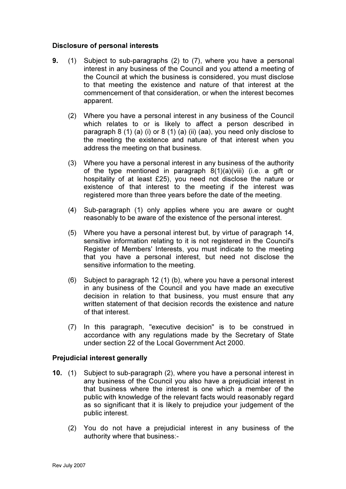# Disclosure of personal interests

- 9. (1) Subject to sub-paragraphs (2) to (7), where you have a personal interest in any business of the Council and you attend a meeting of the Council at which the business is considered, you must disclose to that meeting the existence and nature of that interest at the commencement of that consideration, or when the interest becomes apparent.
	- (2) Where you have a personal interest in any business of the Council which relates to or is likely to affect a person described in paragraph 8 (1) (a) (i) or 8 (1) (a) (ii) (aa), you need only disclose to the meeting the existence and nature of that interest when you address the meeting on that business.
	- (3) Where you have a personal interest in any business of the authority of the type mentioned in paragraph 8(1)(a)(viii) (i.e. a gift or hospitality of at least £25), you need not disclose the nature or existence of that interest to the meeting if the interest was registered more than three years before the date of the meeting.
	- (4) Sub-paragraph (1) only applies where you are aware or ought reasonably to be aware of the existence of the personal interest.
	- (5) Where you have a personal interest but, by virtue of paragraph 14, sensitive information relating to it is not registered in the Council's Register of Members' Interests, you must indicate to the meeting that you have a personal interest, but need not disclose the sensitive information to the meeting.
	- (6) Subject to paragraph 12 (1) (b), where you have a personal interest in any business of the Council and you have made an executive decision in relation to that business, you must ensure that any written statement of that decision records the existence and nature of that interest.
	- (7) In this paragraph, "executive decision" is to be construed in accordance with any regulations made by the Secretary of State under section 22 of the Local Government Act 2000.

### Prejudicial interest generally

- 10. (1) Subject to sub-paragraph (2), where you have a personal interest in any business of the Council you also have a prejudicial interest in that business where the interest is one which a member of the public with knowledge of the relevant facts would reasonably regard as so significant that it is likely to prejudice your judgement of the public interest.
	- (2) You do not have a prejudicial interest in any business of the authority where that business:-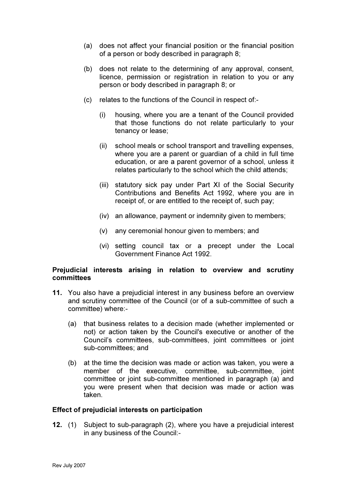- (a) does not affect your financial position or the financial position of a person or body described in paragraph 8;
- (b) does not relate to the determining of any approval, consent, licence, permission or registration in relation to you or any person or body described in paragraph 8; or
- (c) relates to the functions of the Council in respect of:-
	- (i) housing, where you are a tenant of the Council provided that those functions do not relate particularly to your tenancy or lease;
	- (ii) school meals or school transport and travelling expenses, where you are a parent or guardian of a child in full time education, or are a parent governor of a school, unless it relates particularly to the school which the child attends;
	- (iii) statutory sick pay under Part XI of the Social Security Contributions and Benefits Act 1992, where you are in receipt of, or are entitled to the receipt of, such pay;
	- (iv) an allowance, payment or indemnity given to members;
	- (v) any ceremonial honour given to members; and
	- (vi) setting council tax or a precept under the Local Government Finance Act 1992.

# Prejudicial interests arising in relation to overview and scrutiny committees

- 11. You also have a prejudicial interest in any business before an overview and scrutiny committee of the Council (or of a sub-committee of such a committee) where:-
	- (a) that business relates to a decision made (whether implemented or not) or action taken by the Council's executive or another of the Council's committees, sub-committees, joint committees or joint sub-committees; and
	- (b) at the time the decision was made or action was taken, you were a member of the executive, committee, sub-committee, joint committee or joint sub-committee mentioned in paragraph (a) and you were present when that decision was made or action was taken.

### Effect of prejudicial interests on participation

12. (1) Subject to sub-paragraph (2), where you have a prejudicial interest in any business of the Council:-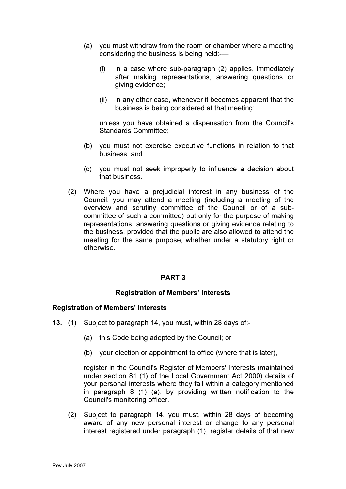- (a) you must withdraw from the room or chamber where a meeting considering the business is being held:-—
	- (i) in a case where sub-paragraph (2) applies, immediately after making representations, answering questions or giving evidence;
	- (ii) in any other case, whenever it becomes apparent that the business is being considered at that meeting;

unless you have obtained a dispensation from the Council's Standards Committee;

- (b) you must not exercise executive functions in relation to that business; and
- (c) you must not seek improperly to influence a decision about that business.
- (2) Where you have a prejudicial interest in any business of the Council, you may attend a meeting (including a meeting of the overview and scrutiny committee of the Council or of a subcommittee of such a committee) but only for the purpose of making representations, answering questions or giving evidence relating to the business, provided that the public are also allowed to attend the meeting for the same purpose, whether under a statutory right or otherwise.

### PART 3

### Registration of Members' Interests

#### Registration of Members' Interests

- 13. (1) Subject to paragraph 14, you must, within 28 days of:-
	- (a) this Code being adopted by the Council; or
	- (b) your election or appointment to office (where that is later),

register in the Council's Register of Members' Interests (maintained under section 81 (1) of the Local Government Act 2000) details of your personal interests where they fall within a category mentioned in paragraph 8 (1) (a), by providing written notification to the Council's monitoring officer.

 (2) Subject to paragraph 14, you must, within 28 days of becoming aware of any new personal interest or change to any personal interest registered under paragraph (1), register details of that new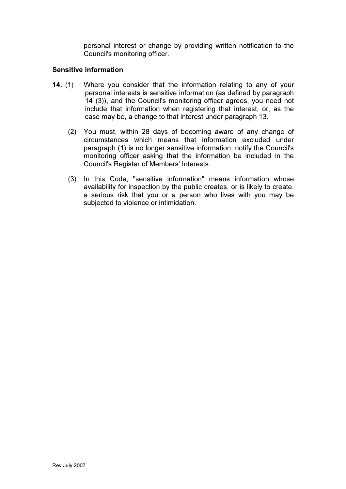personal interest or change by providing written notification to the Council's monitoring officer.

# Sensitive information

- 14. (1) Where you consider that the information relating to any of your personal interests is sensitive information (as defined by paragraph 14 (3)), and the Council's monitoring officer agrees, you need not include that information when registering that interest, or, as the case may be, a change to that interest under paragraph 13.
	- (2) You must, within 28 days of becoming aware of any change of circumstances which means that information excluded under paragraph (1) is no longer sensitive information, notify the Council's monitoring officer asking that the information be included in the Council's Register of Members' Interests.
	- (3) In this Code, "sensitive information" means information whose availability for inspection by the public creates, or is likely to create, a serious risk that you or a person who lives with you may be subjected to violence or intimidation.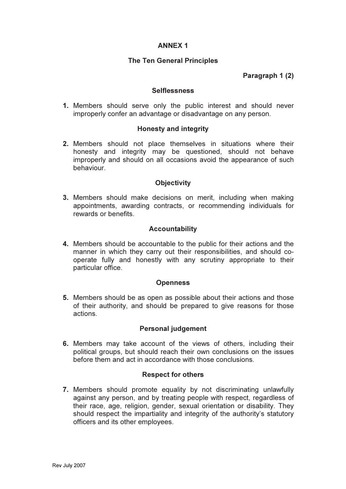# ANNEX 1

# The Ten General Principles

# Paragraph 1 (2)

### **Selflessness**

1. Members should serve only the public interest and should never improperly confer an advantage or disadvantage on any person.

# Honesty and integrity

2. Members should not place themselves in situations where their honesty and integrity may be questioned, should not behave improperly and should on all occasions avoid the appearance of such behaviour.

# **Objectivity**

3. Members should make decisions on merit, including when making appointments, awarding contracts, or recommending individuals for rewards or benefits.

# Accountability

4. Members should be accountable to the public for their actions and the manner in which they carry out their responsibilities, and should cooperate fully and honestly with any scrutiny appropriate to their particular office.

### **Openness**

5. Members should be as open as possible about their actions and those of their authority, and should be prepared to give reasons for those actions.

### Personal judgement

6. Members may take account of the views of others, including their political groups, but should reach their own conclusions on the issues before them and act in accordance with those conclusions.

### Respect for others

7. Members should promote equality by not discriminating unlawfully against any person, and by treating people with respect, regardless of their race, age, religion, gender, sexual orientation or disability. They should respect the impartiality and integrity of the authority's statutory officers and its other employees.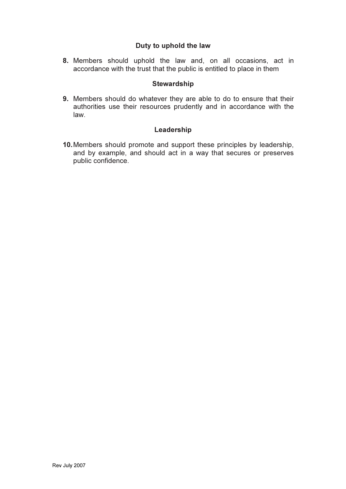# Duty to uphold the law

8. Members should uphold the law and, on all occasions, act in accordance with the trust that the public is entitled to place in them

# **Stewardship**

9. Members should do whatever they are able to do to ensure that their authorities use their resources prudently and in accordance with the law.

# Leadership

10. Members should promote and support these principles by leadership, and by example, and should act in a way that secures or preserves public confidence.